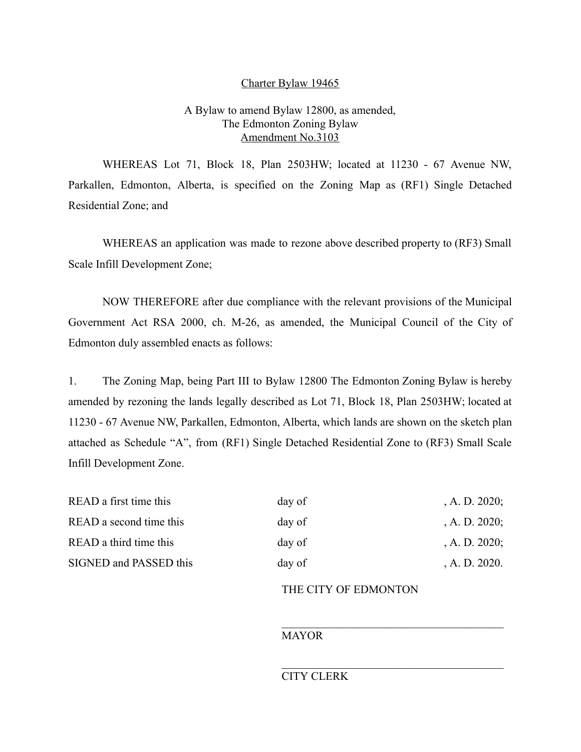### Charter Bylaw 19465

## A Bylaw to amend Bylaw 12800, as amended, The Edmonton Zoning Bylaw Amendment No.3103

WHEREAS Lot 71, Block 18, Plan 2503HW; located at 11230 - 67 Avenue NW, Parkallen, Edmonton, Alberta, is specified on the Zoning Map as (RF1) Single Detached Residential Zone; and

WHEREAS an application was made to rezone above described property to (RF3) Small Scale Infill Development Zone;

NOW THEREFORE after due compliance with the relevant provisions of the Municipal Government Act RSA 2000, ch. M-26, as amended, the Municipal Council of the City of Edmonton duly assembled enacts as follows:

1. The Zoning Map, being Part III to Bylaw 12800 The Edmonton Zoning Bylaw is hereby amended by rezoning the lands legally described as Lot 71, Block 18, Plan 2503HW; located at 11230 - 67 Avenue NW, Parkallen, Edmonton, Alberta, which lands are shown on the sketch plan attached as Schedule "A", from (RF1) Single Detached Residential Zone to (RF3) Small Scale Infill Development Zone.

| READ a first time this  | day of | , A. D. $2020$ ; |
|-------------------------|--------|------------------|
| READ a second time this | day of | , A. D. $2020$ ; |
| READ a third time this  | day of | , A. D. $2020$ ; |
| SIGNED and PASSED this  | day of | A. D. 2020.      |

## THE CITY OF EDMONTON

#### MAYOR

# CITY CLERK